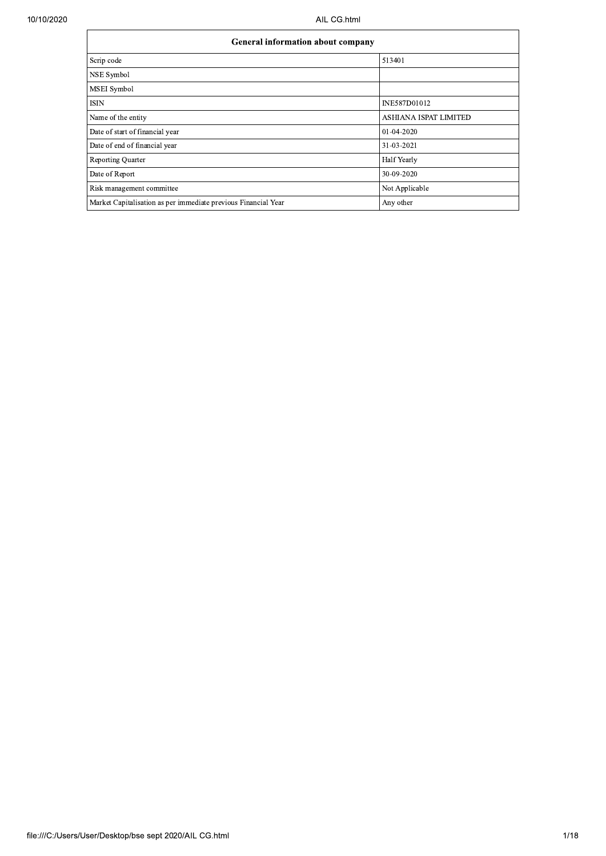| <b>General information about company</b>                       |                       |  |  |  |  |  |  |
|----------------------------------------------------------------|-----------------------|--|--|--|--|--|--|
| Scrip code                                                     | 513401                |  |  |  |  |  |  |
| NSE Symbol                                                     |                       |  |  |  |  |  |  |
| MSEI Symbol                                                    |                       |  |  |  |  |  |  |
| ISIN                                                           | INE587D01012          |  |  |  |  |  |  |
| Name of the entity                                             | ASHIANA ISPAT LIMITED |  |  |  |  |  |  |
| Date of start of financial year                                | 01-04-2020            |  |  |  |  |  |  |
| Date of end of financial year                                  | 31-03-2021            |  |  |  |  |  |  |
| <b>Reporting Quarter</b>                                       | <b>Half Yearly</b>    |  |  |  |  |  |  |
| Date of Report                                                 | 30-09-2020            |  |  |  |  |  |  |
| Risk management committee                                      | Not Applicable        |  |  |  |  |  |  |
| Market Capitalisation as per immediate previous Financial Year | Any other             |  |  |  |  |  |  |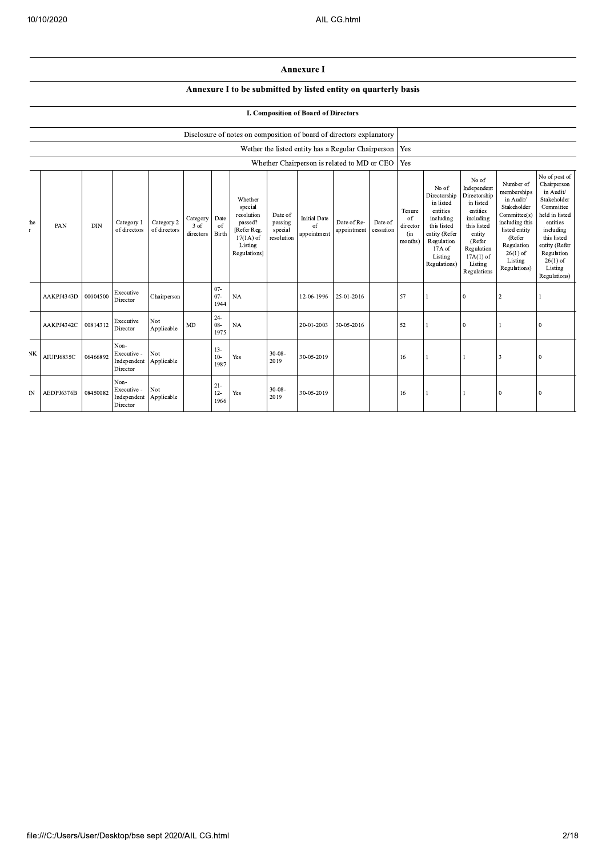## Annexure I

## Annexure I to be submitted by listed entity on quarterly basis

## I. Composition of Board of Directors

|              |            | Disclosure of notes on composition of board of directors explanatory |                                                |                            |                               |                          |                                                                                                      |                                             |                                          |                                                    |                      |                                            |                                                                                                                                                |                                                                                                                                                                      |                                                                                                                                                                          |                                                                                                                                                                                                         |
|--------------|------------|----------------------------------------------------------------------|------------------------------------------------|----------------------------|-------------------------------|--------------------------|------------------------------------------------------------------------------------------------------|---------------------------------------------|------------------------------------------|----------------------------------------------------|----------------------|--------------------------------------------|------------------------------------------------------------------------------------------------------------------------------------------------|----------------------------------------------------------------------------------------------------------------------------------------------------------------------|--------------------------------------------------------------------------------------------------------------------------------------------------------------------------|---------------------------------------------------------------------------------------------------------------------------------------------------------------------------------------------------------|
|              |            |                                                                      |                                                |                            |                               |                          |                                                                                                      |                                             |                                          | Wether the listed entity has a Regular Chairperson |                      | Yes                                        |                                                                                                                                                |                                                                                                                                                                      |                                                                                                                                                                          |                                                                                                                                                                                                         |
|              |            |                                                                      |                                                |                            |                               |                          |                                                                                                      |                                             |                                          | Whether Chairperson is related to MD or CEO        |                      | Yes                                        |                                                                                                                                                |                                                                                                                                                                      |                                                                                                                                                                          |                                                                                                                                                                                                         |
| he<br>r.     | PAN        | DIN                                                                  | Category 1<br>of directors                     | Category 2<br>of directors | Category<br>3 of<br>directors | Date<br>of<br>Birth      | Whether<br>special<br>resolution<br>passed?<br>[Refer Reg.<br>$17(1A)$ of<br>Listing<br>Regulations] | Date of<br>passing<br>special<br>resolution | <b>Initial Date</b><br>of<br>appointment | Date of Re-<br>appointment                         | Date of<br>cessation | Tenure<br>of<br>director<br>(in<br>months) | No of<br>Directorship<br>in listed<br>entities<br>including<br>this listed<br>entity (Refer<br>Regulation<br>17A of<br>Listing<br>Regulations) | No of<br>Independent<br>Directorship<br>in listed<br>entities<br>including<br>this listed<br>entity<br>(Refer<br>Regulation<br>$17A(1)$ of<br>Listing<br>Regulations | Number of<br>memberships<br>in Audit/<br>Stakeholder<br>Committee(s)<br>including this<br>listed entity<br>(Refer<br>Regulation<br>$26(1)$ of<br>Listing<br>Regulations) | No of post of<br>Chairperson<br>in Audit/<br>Stakeholder<br>Committee<br>held in listed<br>entities<br>including<br>this listed<br>entity (Refer<br>Regulation<br>$26(1)$ of<br>Listing<br>Regulations) |
|              | AAKPJ4343D | 00004500                                                             | Executive<br>Director                          | Chairperson                |                               | $07 -$<br>$07 -$<br>1944 | NA                                                                                                   |                                             | 12-06-1996                               | 25-01-2016                                         |                      | 57                                         |                                                                                                                                                | $\mathbf{0}$                                                                                                                                                         | $\overline{c}$                                                                                                                                                           |                                                                                                                                                                                                         |
|              | AAKPJ4342C | 00814312                                                             | Executive<br>Director                          | Not<br>Applicable          | <b>MD</b>                     | $24 -$<br>$08 -$<br>1975 | <b>NA</b>                                                                                            |                                             | 20-01-2003                               | 30-05-2016                                         |                      | 52                                         |                                                                                                                                                | $\mathbf{0}$                                                                                                                                                         |                                                                                                                                                                          | $\theta$                                                                                                                                                                                                |
| <b>NK</b>    | AIUPJ6835C | 06466892                                                             | Non-<br>Executive -<br>Independent<br>Director | Not<br>Applicable          |                               | $13 -$<br>$10-$<br>1987  | Yes                                                                                                  | $30 - 08 -$<br>2019                         | 30-05-2019                               |                                                    |                      | 16                                         |                                                                                                                                                |                                                                                                                                                                      | 3                                                                                                                                                                        | 0                                                                                                                                                                                                       |
| $\mathbb{N}$ | AEDPJ6376B | 08450082                                                             | Non-<br>Executive -<br>Independent<br>Director | Not<br>Applicable          |                               | $21 -$<br>$12 -$<br>1966 | Yes                                                                                                  | $30 - 08 -$<br>2019                         | 30-05-2019                               |                                                    |                      | 16                                         |                                                                                                                                                |                                                                                                                                                                      | $\theta$                                                                                                                                                                 | 0                                                                                                                                                                                                       |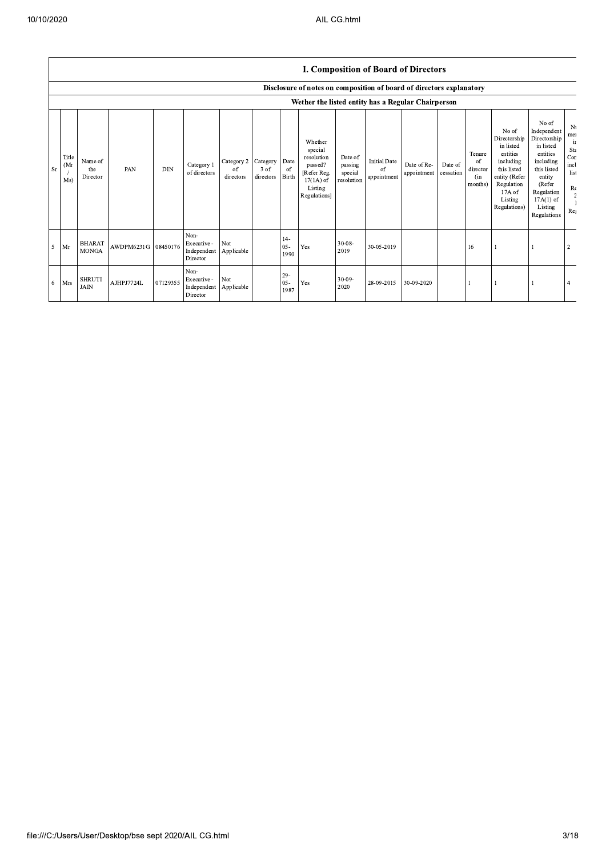|      |                     | <b>I. Composition of Board of Directors</b><br>Disclosure of notes on composition of board of directors explanatory |            |            |                                                |                               |                               |                                |                                                                                                      |                                             |                                          |                            |                      |                                            |                                                                                                                                                  |                                                                                                                                                                      |                                                                         |
|------|---------------------|---------------------------------------------------------------------------------------------------------------------|------------|------------|------------------------------------------------|-------------------------------|-------------------------------|--------------------------------|------------------------------------------------------------------------------------------------------|---------------------------------------------|------------------------------------------|----------------------------|----------------------|--------------------------------------------|--------------------------------------------------------------------------------------------------------------------------------------------------|----------------------------------------------------------------------------------------------------------------------------------------------------------------------|-------------------------------------------------------------------------|
|      |                     |                                                                                                                     |            |            |                                                |                               |                               |                                |                                                                                                      |                                             |                                          |                            |                      |                                            |                                                                                                                                                  |                                                                                                                                                                      |                                                                         |
|      |                     |                                                                                                                     |            |            |                                                |                               |                               |                                | Wether the listed entity has a Regular Chairperson                                                   |                                             |                                          |                            |                      |                                            |                                                                                                                                                  |                                                                                                                                                                      |                                                                         |
| l Sr | Title<br>(Mr<br>Ms) | Name of<br>the<br>Director                                                                                          | PAN        | <b>DIN</b> | Category 1<br>of directors                     | Category 2<br>of<br>directors | Category<br>3 of<br>directors | Date<br><sub>of</sub><br>Birth | Whether<br>special<br>resolution<br>passed?<br>[Refer Reg.<br>$17(1A)$ of<br>Listing<br>Regulations] | Date of<br>passing<br>special<br>resolution | <b>Initial Date</b><br>of<br>appointment | Date of Re-<br>appointment | Date of<br>cessation | Tenure<br>of<br>director<br>(in<br>months) | No of<br>Directorship<br>in listed<br>entities<br>including<br>this listed<br>entity (Refer<br>Regulation<br>$17A$ of<br>Listing<br>Regulations) | No of<br>Independent<br>Directorship<br>in listed<br>entities<br>including<br>this listed<br>entity<br>(Refer<br>Regulation<br>$17A(1)$ of<br>Listing<br>Regulations | N<br>me<br>$\mathbf{1}$<br>St<br>Co<br>inc<br>lis<br>$\mathbb{R}$<br>Re |
| 5    | Mr                  | <b>BHARAT</b><br><b>MONGA</b>                                                                                       | AWDPM6231G | 08450176   | Non-<br>Executive -<br>Independent<br>Director | Not<br>Applicable             |                               | $14-$<br>$05 -$<br>1990        | Yes                                                                                                  | $30 - 08 -$<br>2019                         | 30-05-2019                               |                            |                      | 16                                         |                                                                                                                                                  |                                                                                                                                                                      | $\overline{2}$                                                          |
| -6   | Mrs                 | <b>SHRUTI</b><br><b>JAIN</b>                                                                                        | AJHPJ7724L | 07129355   | Non-<br>Executive -<br>Independent<br>Director | Not<br>Applicable             |                               | $29 -$<br>$05 -$<br>1987       | Yes                                                                                                  | $30 - 09 -$<br>2020                         | 28-09-2015                               | 30-09-2020                 |                      |                                            |                                                                                                                                                  |                                                                                                                                                                      |                                                                         |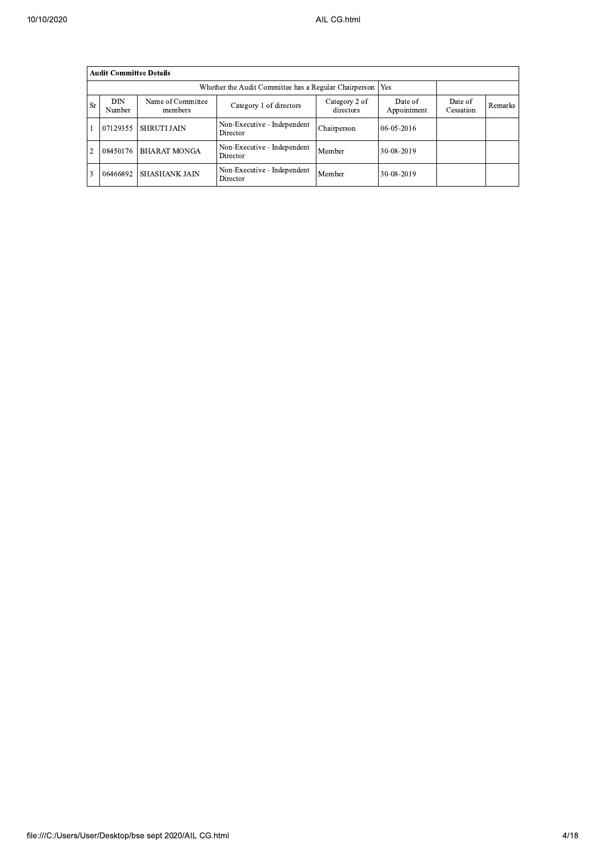|    | <b>Audit Committee Details</b> |                              |                                                       |                            |                        |                      |         |
|----|--------------------------------|------------------------------|-------------------------------------------------------|----------------------------|------------------------|----------------------|---------|
|    |                                |                              | Whether the Audit Committee has a Regular Chairperson |                            | Yes                    |                      |         |
| Sr | <b>DIN</b><br>Number           | Name of Committee<br>members | Category 1 of directors                               | Category 2 of<br>directors | Date of<br>Appointment | Date of<br>Cessation | Remarks |
|    | 07129355                       | <b>SHRUTI JAIN</b>           | Non-Executive - Independent<br>Director               | Chairperson                | 06-05-2016             |                      |         |
| 2  | 08450176                       | <b>BHARAT MONGA</b>          | Non-Executive - Independent<br>Director               | Member                     | 30-08-2019             |                      |         |
| 3  | 06466892                       | <b>SHASHANK JAIN</b>         | Non-Executive - Independent<br>Director               | Member                     | 30-08-2019             |                      |         |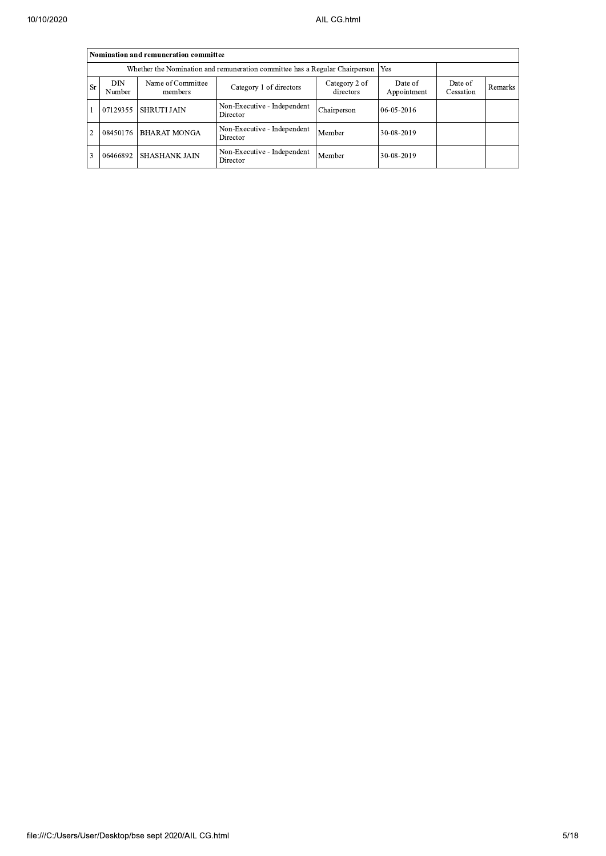|                | Nomination and remuneration committee                                              |                      |                                         |             |            |  |  |  |  |  |  |
|----------------|------------------------------------------------------------------------------------|----------------------|-----------------------------------------|-------------|------------|--|--|--|--|--|--|
|                | Whether the Nomination and remuneration committee has a Regular Chairperson<br>Yes |                      |                                         |             |            |  |  |  |  |  |  |
| <b>Sr</b>      | <b>DIN</b><br>Number                                                               | Date of<br>Cessation | Remarks                                 |             |            |  |  |  |  |  |  |
|                | 07129355                                                                           | <b>SHRUTI JAIN</b>   | Non-Executive - Independent<br>Director | Chairperson | 06-05-2016 |  |  |  |  |  |  |
| $\overline{2}$ | 08450176                                                                           | <b>BHARAT MONGA</b>  | Non-Executive - Independent<br>Director | Member      | 30-08-2019 |  |  |  |  |  |  |
| $\overline{3}$ | 06466892                                                                           | <b>SHASHANK JAIN</b> | Non-Executive - Independent<br>Director | Member      | 30-08-2019 |  |  |  |  |  |  |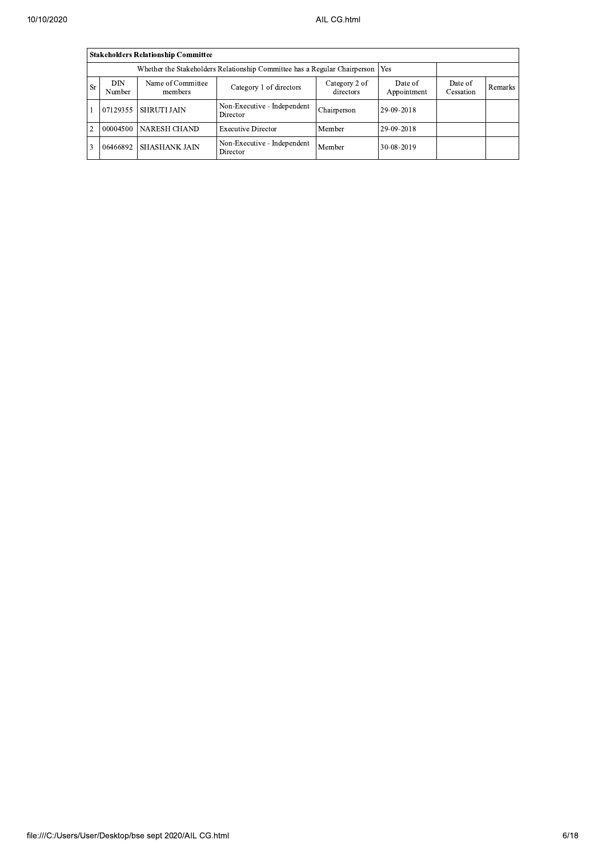|                | <b>Stakeholders Relationship Committee</b> |                              |                                                                           |                            |                        |                      |         |
|----------------|--------------------------------------------|------------------------------|---------------------------------------------------------------------------|----------------------------|------------------------|----------------------|---------|
|                |                                            |                              | Whether the Stakeholders Relationship Committee has a Regular Chairperson |                            | Yes                    |                      |         |
| Sr             | DIN<br>Number                              | Name of Committee<br>members | Category 1 of directors                                                   | Category 2 of<br>directors | Date of<br>Appointment | Date of<br>Cessation | Remarks |
|                | 07129355                                   | <b>SHRUTI JAIN</b>           | Non-Executive - Independent<br>Director                                   | Chairperson                | 29-09-2018             |                      |         |
| $\overline{2}$ | 00004500                                   | <b>NARESH CHAND</b>          | <b>Executive Director</b>                                                 | Member                     | 29-09-2018             |                      |         |
| 3              | 06466892                                   | <b>SHASHANK JAIN</b>         | Non-Executive - Independent<br>Director                                   | Member                     | 30-08-2019             |                      |         |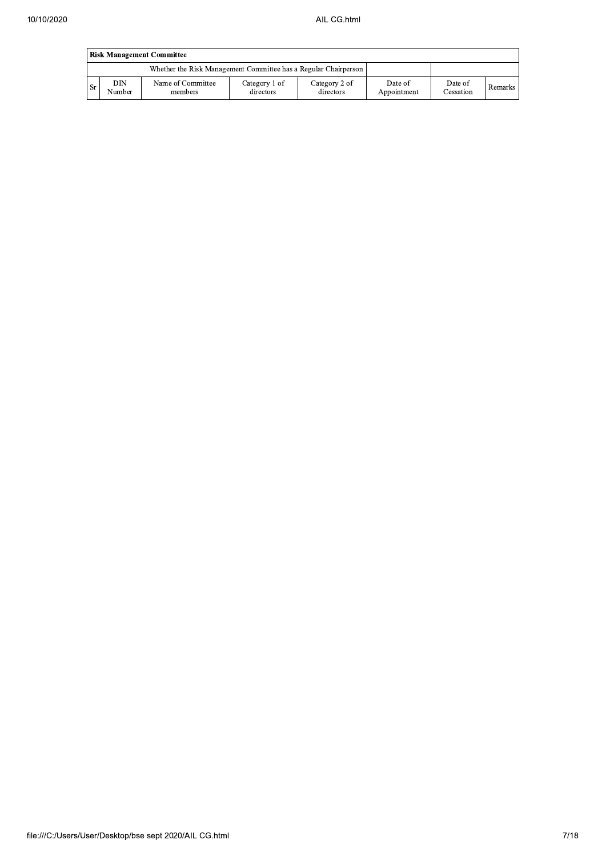|           | <b>Risk Management Committee</b> |                                                                 |                            |                            |                        |                      |         |  |  |  |  |
|-----------|----------------------------------|-----------------------------------------------------------------|----------------------------|----------------------------|------------------------|----------------------|---------|--|--|--|--|
|           |                                  | Whether the Risk Management Committee has a Regular Chairperson |                            |                            |                        |                      |         |  |  |  |  |
| <b>Sr</b> | DIN<br>Number                    | Name of Committee<br>members                                    | Category 1 of<br>directors | Category 2 of<br>directors | Date of<br>Appointment | Date of<br>Cessation | Remarks |  |  |  |  |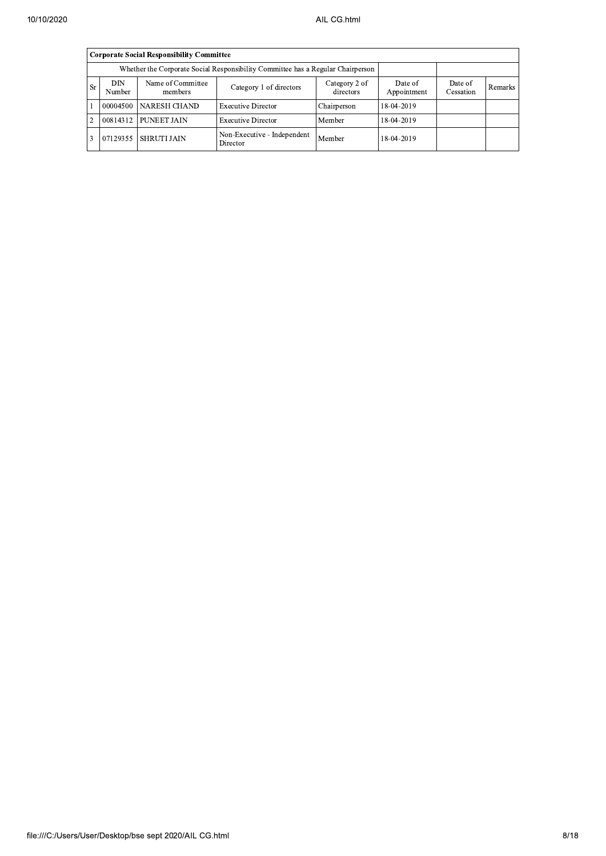|                | Corporate Social Responsibility Committee |                              |                                         |                      |            |  |  |  |  |  |
|----------------|-------------------------------------------|------------------------------|-----------------------------------------|----------------------|------------|--|--|--|--|--|
|                |                                           |                              |                                         |                      |            |  |  |  |  |  |
| <b>Sr</b>      | DIN<br>Number                             | Name of Committee<br>members | Date of<br>Appointment                  | Date of<br>Cessation | Remarks    |  |  |  |  |  |
|                | 00004500                                  | NARESH CHAND                 | <b>Executive Director</b>               | Chairperson          | 18-04-2019 |  |  |  |  |  |
| $\overline{2}$ | 00814312                                  | PUNEET JAIN                  | <b>Executive Director</b>               | Member               | 18-04-2019 |  |  |  |  |  |
| ا 3            | 07129355                                  | <b>SHRUTI JAIN</b>           | Non-Executive - Independent<br>Director | Member               | 18-04-2019 |  |  |  |  |  |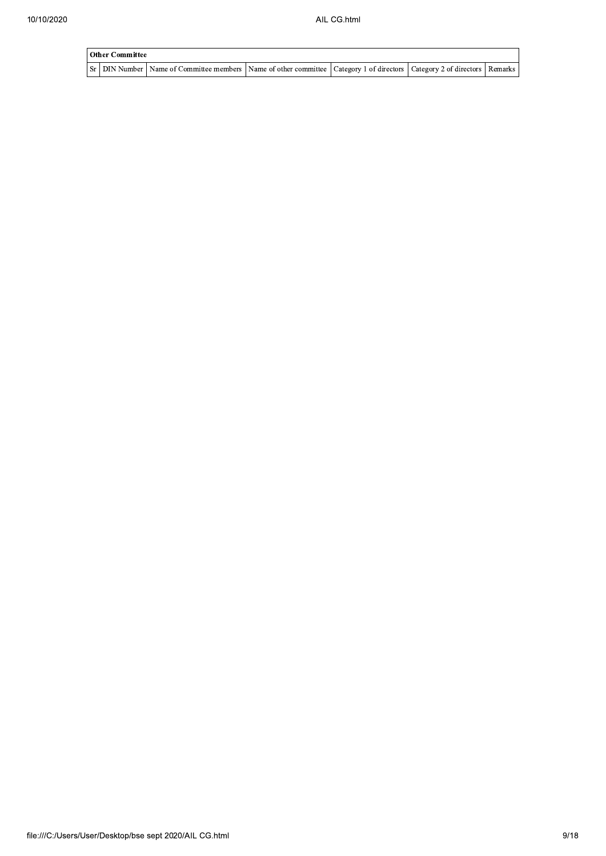| Other Committee |                                                                                                                                     |  |  |  |  |  |  |  |
|-----------------|-------------------------------------------------------------------------------------------------------------------------------------|--|--|--|--|--|--|--|
|                 | Sr   DIN Number   Name of Committee members   Name of other committee   Category 1 of directors   Category 2 of directors   Remarks |  |  |  |  |  |  |  |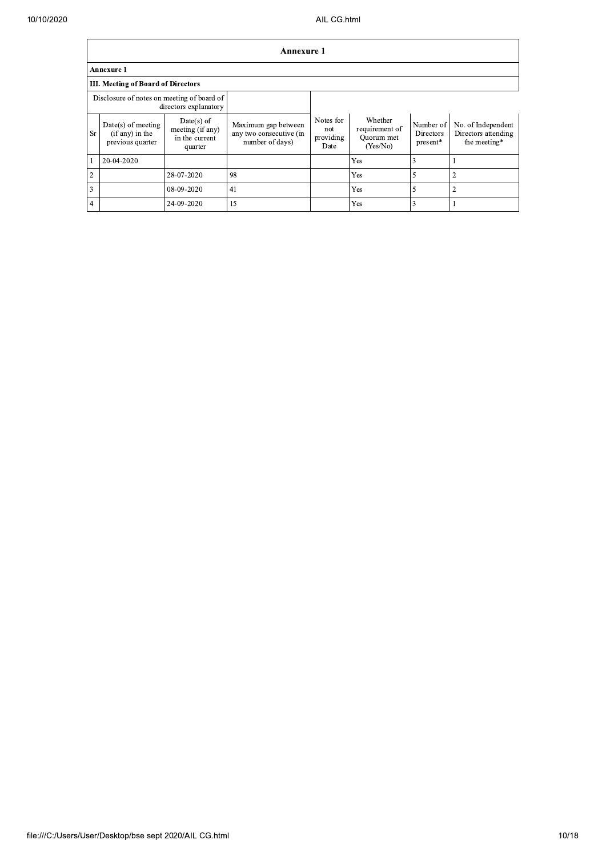$\Gamma$ 

 $\overline{\phantom{0}}$ 

|                | <b>Annexure 1</b>                                             |                                                               |                                                                   |                                       |                                                     |                                    |                                                           |  |  |  |  |
|----------------|---------------------------------------------------------------|---------------------------------------------------------------|-------------------------------------------------------------------|---------------------------------------|-----------------------------------------------------|------------------------------------|-----------------------------------------------------------|--|--|--|--|
|                | Annexure 1                                                    |                                                               |                                                                   |                                       |                                                     |                                    |                                                           |  |  |  |  |
|                | III. Meeting of Board of Directors                            |                                                               |                                                                   |                                       |                                                     |                                    |                                                           |  |  |  |  |
|                | Disclosure of notes on meeting of board of                    | directors explanatory                                         |                                                                   |                                       |                                                     |                                    |                                                           |  |  |  |  |
| <b>Sr</b>      | $Date(s)$ of meeting<br>$(if any)$ in the<br>previous quarter | $Date(s)$ of<br>meeting (if any)<br>in the current<br>quarter | Maximum gap between<br>any two consecutive (in<br>number of days) | Notes for<br>not<br>providing<br>Date | Whether<br>requirement of<br>Ouorum met<br>(Yes/No) | Number of<br>Directors<br>present* | No. of Independent<br>Directors attending<br>the meeting* |  |  |  |  |
|                | 20-04-2020                                                    |                                                               |                                                                   |                                       | Yes                                                 | 3                                  |                                                           |  |  |  |  |
| $\overline{2}$ |                                                               | 28-07-2020                                                    | 98                                                                |                                       | Yes                                                 | 5                                  | 2                                                         |  |  |  |  |
| $\overline{3}$ |                                                               | 08-09-2020                                                    | 41                                                                |                                       | Yes                                                 |                                    | $\overline{2}$                                            |  |  |  |  |
| $\overline{4}$ |                                                               | 24-09-2020                                                    | 15                                                                |                                       | Yes                                                 | 3                                  |                                                           |  |  |  |  |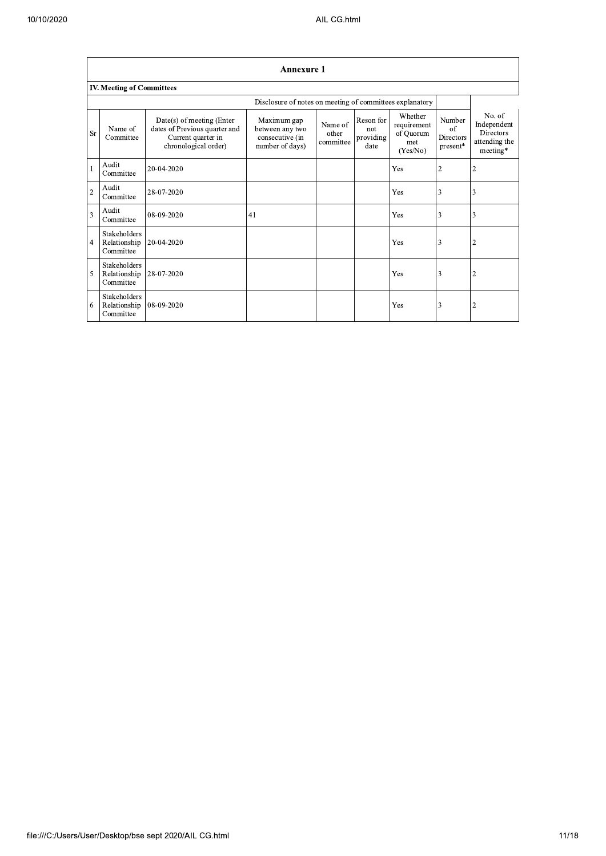| 10/10/2020 |                           |                                           |                                                                                                          |                                                                      | AIL CG.html                   |                                       |                                                        |                                       |                                                                 |  |  |  |
|------------|---------------------------|-------------------------------------------|----------------------------------------------------------------------------------------------------------|----------------------------------------------------------------------|-------------------------------|---------------------------------------|--------------------------------------------------------|---------------------------------------|-----------------------------------------------------------------|--|--|--|
|            |                           |                                           |                                                                                                          |                                                                      |                               |                                       |                                                        |                                       |                                                                 |  |  |  |
|            | <b>Annexure 1</b>         |                                           |                                                                                                          |                                                                      |                               |                                       |                                                        |                                       |                                                                 |  |  |  |
|            | IV. Meeting of Committees |                                           |                                                                                                          |                                                                      |                               |                                       |                                                        |                                       |                                                                 |  |  |  |
|            |                           |                                           |                                                                                                          | Disclosure of notes on meeting of committees explanatory             |                               |                                       |                                                        |                                       |                                                                 |  |  |  |
|            | Sr                        | Name of<br>Committee                      | Date(s) of meeting (Enter<br>dates of Previous quarter and<br>Current quarter in<br>chronological order) | Maximum gap<br>between any two<br>consecutive (in<br>number of days) | Name of<br>other<br>committee | Reson for<br>not<br>providing<br>date | Whether<br>requirement<br>of Quorum<br>met<br>(Yes/No) | Number<br>of<br>Directors<br>present* | No. of<br>Independent<br>Directors<br>attending the<br>meeting* |  |  |  |
|            |                           | Audit<br>Committee                        | 20-04-2020                                                                                               |                                                                      |                               |                                       | Yes                                                    | $\overline{2}$                        | $\overline{2}$                                                  |  |  |  |
|            | $\overline{2}$            | Audit<br>Committee                        | 28-07-2020                                                                                               |                                                                      |                               |                                       | Yes                                                    | 3                                     | 3                                                               |  |  |  |
|            | 3                         | Audit<br>Committee                        | 08-09-2020                                                                                               | 41                                                                   |                               |                                       | Yes                                                    | 3                                     | 3                                                               |  |  |  |
|            | 4                         | Stakeholders<br>Relationship<br>Committee | 20-04-2020                                                                                               |                                                                      |                               |                                       | Yes                                                    | 3                                     | $\overline{2}$                                                  |  |  |  |
|            | 5                         | Stakeholders<br>Relationship<br>Committee | 28-07-2020                                                                                               |                                                                      |                               |                                       | Yes                                                    | 3                                     | $\overline{2}$                                                  |  |  |  |
|            | 6                         | Stakeholders<br>Relationship<br>Committee | 08-09-2020                                                                                               |                                                                      |                               |                                       | Yes                                                    | 3                                     | $\overline{2}$                                                  |  |  |  |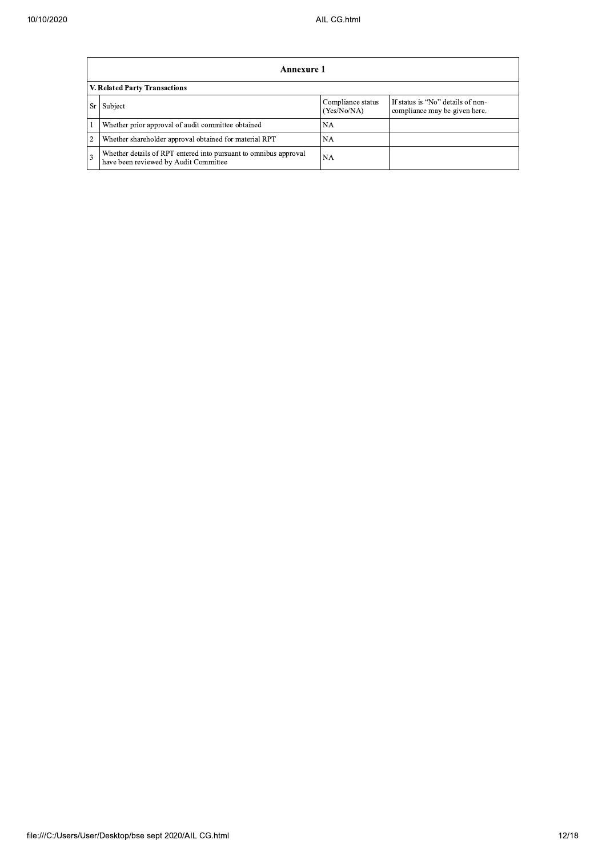| 0/10/2020 |   | AIL CG.html                                                                                               |                                  |                                                                    |  |  |  |  |  |  |  |  |
|-----------|---|-----------------------------------------------------------------------------------------------------------|----------------------------------|--------------------------------------------------------------------|--|--|--|--|--|--|--|--|
|           |   |                                                                                                           |                                  |                                                                    |  |  |  |  |  |  |  |  |
|           |   | <b>Annexure 1</b>                                                                                         |                                  |                                                                    |  |  |  |  |  |  |  |  |
|           |   | <b>V. Related Party Transactions</b>                                                                      |                                  |                                                                    |  |  |  |  |  |  |  |  |
|           |   | Sr Subject                                                                                                | Compliance status<br>(Yes/No/NA) | If status is "No" details of non-<br>compliance may be given here. |  |  |  |  |  |  |  |  |
|           |   | Whether prior approval of audit committee obtained                                                        | NA.                              |                                                                    |  |  |  |  |  |  |  |  |
|           | 2 | Whether shareholder approval obtained for material RPT                                                    | NA.                              |                                                                    |  |  |  |  |  |  |  |  |
|           | 3 | Whether details of RPT entered into pursuant to omnibus approval<br>have been reviewed by Audit Committee | NA                               |                                                                    |  |  |  |  |  |  |  |  |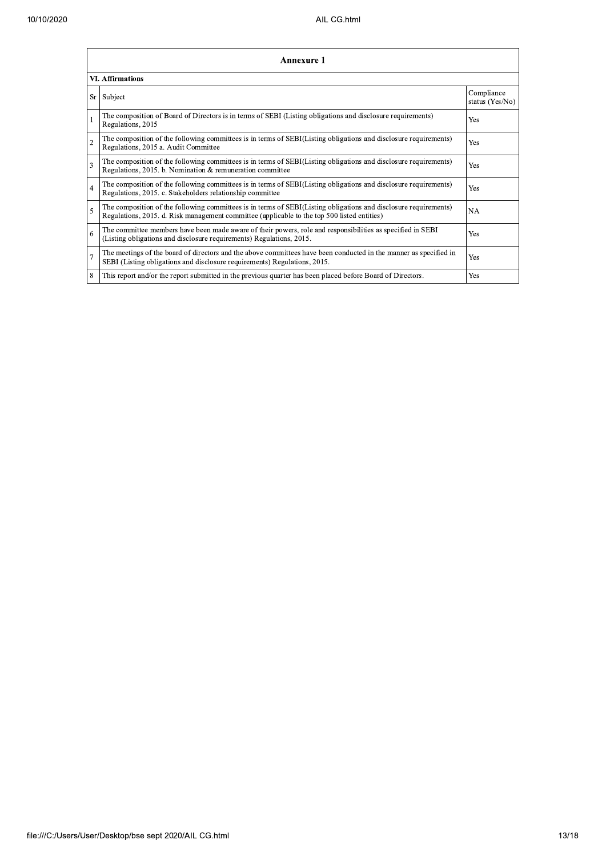| 10/10/2020        | AIL CG.html             |                                                                                                                                                                                                                 |                               |  |  |  |
|-------------------|-------------------------|-----------------------------------------------------------------------------------------------------------------------------------------------------------------------------------------------------------------|-------------------------------|--|--|--|
| <b>Annexure 1</b> |                         |                                                                                                                                                                                                                 |                               |  |  |  |
|                   | <b>VI. Affirmations</b> |                                                                                                                                                                                                                 |                               |  |  |  |
|                   |                         | Sr Subject                                                                                                                                                                                                      | Compliance<br>status (Yes/No) |  |  |  |
|                   |                         | The composition of Board of Directors is in terms of SEBI (Listing obligations and disclosure requirements)<br>Regulations, 2015                                                                                | Yes                           |  |  |  |
|                   | 2                       | The composition of the following committees is in terms of SEBI(Listing obligations and disclosure requirements)<br>Regulations, 2015 a. Audit Committee                                                        | Yes                           |  |  |  |
|                   | 3                       | The composition of the following committees is in terms of SEBI(Listing obligations and disclosure requirements)<br>Regulations, 2015. b. Nomination & remuneration committee                                   | Yes                           |  |  |  |
|                   | 4                       | The composition of the following committees is in terms of SEBI(Listing obligations and disclosure requirements)<br>Regulations, 2015. c. Stakeholders relationship committee                                   | Yes                           |  |  |  |
|                   | 5                       | The composition of the following committees is in terms of SEBI(Listing obligations and disclosure requirements)<br>Regulations, 2015. d. Risk management committee (applicable to the top 500 listed entities) | <b>NA</b>                     |  |  |  |
|                   | 6                       | The committee members have been made aware of their powers, role and responsibilities as specified in SEBI<br>(Listing obligations and disclosure requirements) Regulations, 2015.                              | Yes                           |  |  |  |
|                   |                         | The meetings of the board of directors and the above committees have been conducted in the manner as specified in<br>SEBI (Listing obligations and disclosure requirements) Regulations, 2015.                  | Yes                           |  |  |  |
|                   | 8                       | This report and/or the report submitted in the previous quarter has been placed before Board of Directors.                                                                                                      | Yes                           |  |  |  |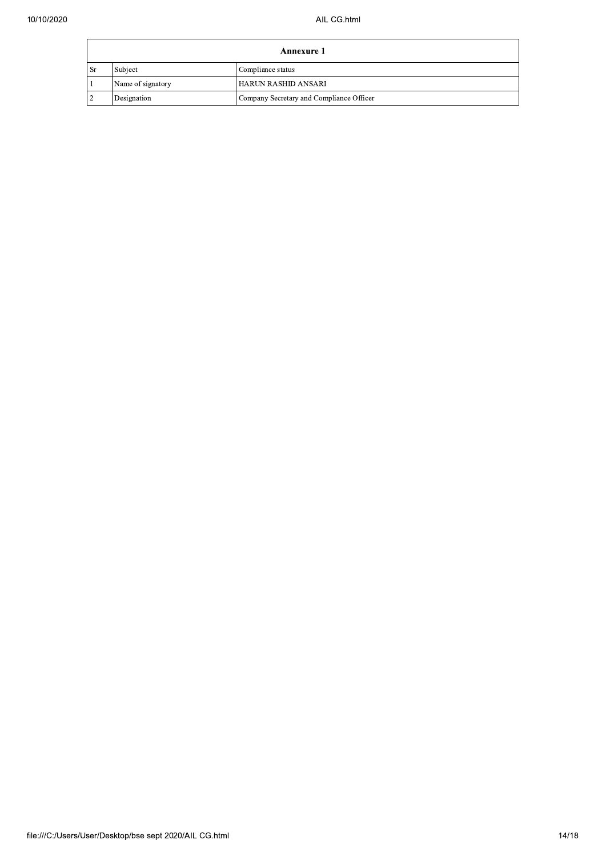| Annexure 1             |                   |                                          |  |  |
|------------------------|-------------------|------------------------------------------|--|--|
| $\mathsf{S}\mathsf{r}$ | Subject           | Compliance status                        |  |  |
|                        | Name of signatory | <b>HARUN RASHID ANSARI</b>               |  |  |
|                        | Designation       | Company Secretary and Compliance Officer |  |  |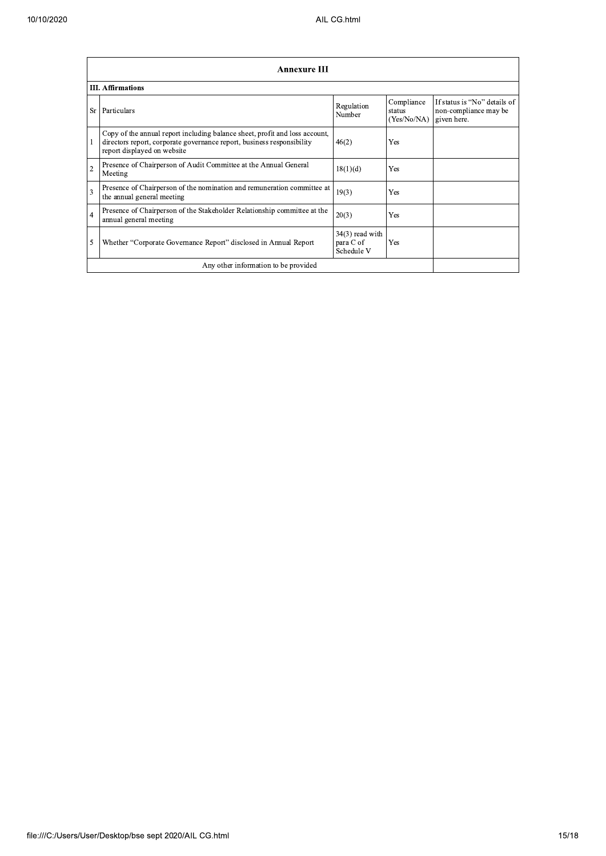|                | <b>Annexure III</b>                                                                                                                                                                  |                                              |                                     |                                                                      |  |  |  |  |
|----------------|--------------------------------------------------------------------------------------------------------------------------------------------------------------------------------------|----------------------------------------------|-------------------------------------|----------------------------------------------------------------------|--|--|--|--|
|                | <b>III.</b> Affirmations                                                                                                                                                             |                                              |                                     |                                                                      |  |  |  |  |
| <b>Sr</b>      | Particulars                                                                                                                                                                          | Regulation<br>Number                         | Compliance<br>status<br>(Yes/No/NA) | If status is "No" details of<br>non-compliance may be<br>given here. |  |  |  |  |
|                | Copy of the annual report including balance sheet, profit and loss account,<br>directors report, corporate governance report, business responsibility<br>report displayed on website | 46(2)                                        | Yes                                 |                                                                      |  |  |  |  |
| $\overline{2}$ | Presence of Chairperson of Audit Committee at the Annual General<br>Meeting                                                                                                          | 18(1)(d)                                     | <b>Yes</b>                          |                                                                      |  |  |  |  |
| 3              | Presence of Chairperson of the nomination and remuneration committee at<br>the annual general meeting                                                                                | 19(3)                                        | <b>Yes</b>                          |                                                                      |  |  |  |  |
| $\overline{4}$ | Presence of Chairperson of the Stakeholder Relationship committee at the<br>annual general meeting                                                                                   | 20(3)                                        | <b>Yes</b>                          |                                                                      |  |  |  |  |
| 5              | Whether "Corporate Governance Report" disclosed in Annual Report                                                                                                                     | $34(3)$ read with<br>para C of<br>Schedule V | Yes                                 |                                                                      |  |  |  |  |
|                | Any other information to be provided                                                                                                                                                 |                                              |                                     |                                                                      |  |  |  |  |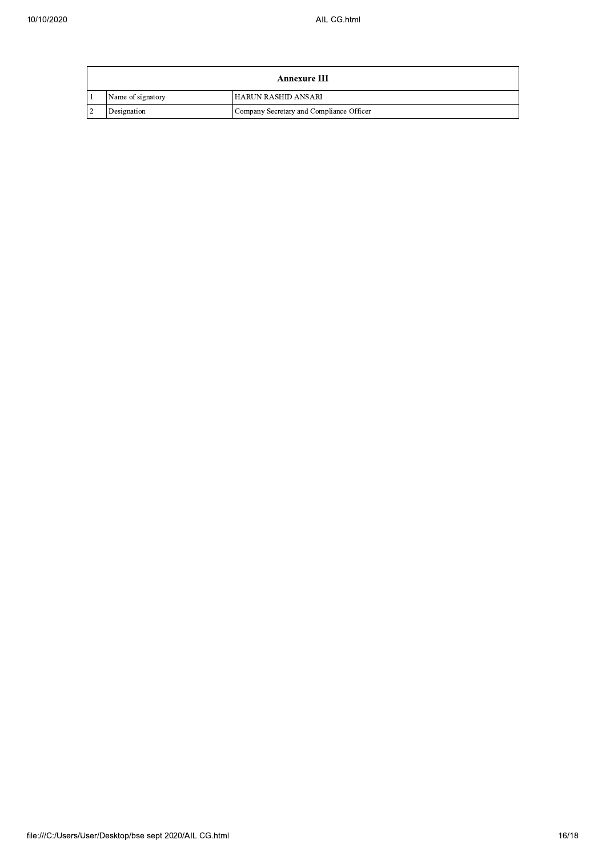| <b>Annexure III</b> |                                          |  |  |
|---------------------|------------------------------------------|--|--|
| Name of signatory   | l HARUN RASHID ANSARI                    |  |  |
| Designation         | Company Secretary and Compliance Officer |  |  |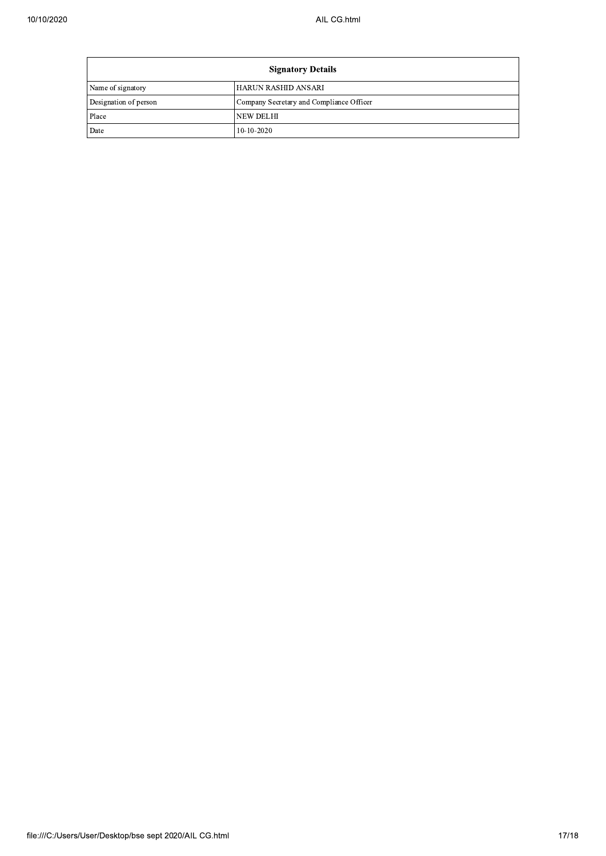F

| <b>Signatory Details</b> |                                          |  |  |  |
|--------------------------|------------------------------------------|--|--|--|
| Name of signatory        | HARUN RASHID ANSARI                      |  |  |  |
| Designation of person    | Company Secretary and Compliance Officer |  |  |  |
| Place                    | NEW DELHI                                |  |  |  |
| Date                     | $10-10-2020$                             |  |  |  |